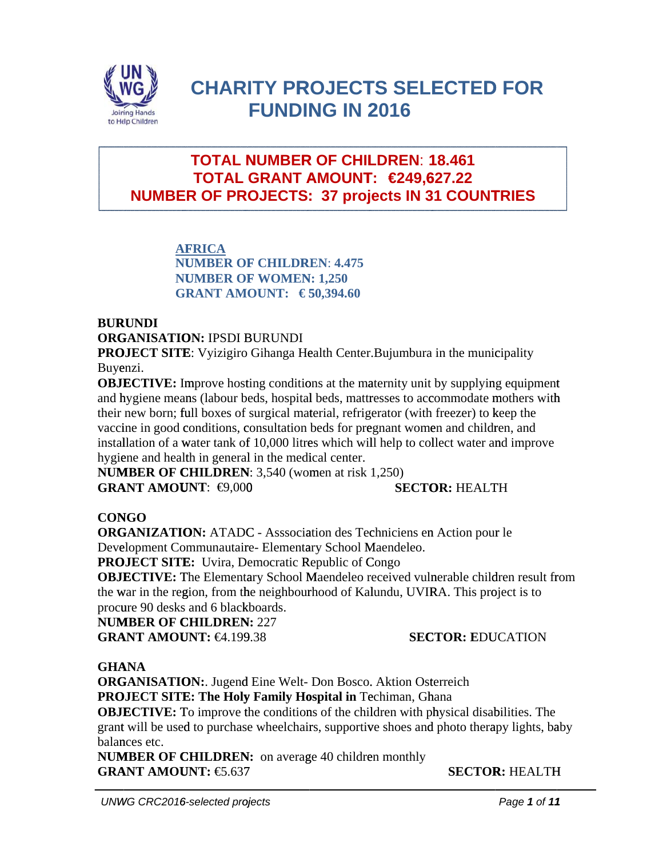

# **CHARITY PROJECTS SELECTED FOR FUNDING IN 2016**

## **NUMBER OF PROJECTS: 37 projects IN 31 COUNTRIES TOTAL N NUMBER R OF CHIL LDREN**: **1 18.461 TOTAL GRANT AMOUNT: €249,627.22**

**AF FRICA NU UMBER OF F CHILDR REN**: **4.475 NU UMBER OF F WOMEN N: 1,250 G RANT AM OUNT: € 5 50,394.60** 

## **BUR RUNDI**

**ORGANISATION: IPSDI BURUNDI** 

**PROJECT SITE:** Vyizigiro Gihanga Health Center. Bujumbura in the municipality Buyenzi.

**OBJECTIVE:** Improve hosting conditions at the maternity unit by supplying equipment and hygiene means (labour beds, hospital beds, mattresses to accommodate mothers with their new born; full boxes of surgical material, refrigerator (with freezer) to keep the vaccine in good conditions, consultation beds for pregnant women and children, and installation of a water tank of 10,000 litres which will help to collect water and improve hygiene and health in general in the medical center.

**NUMBER OF CHILDREN:** 3,540 (women at risk 1,250) **GRANT AMOUNT: €9,000 SECTOR: HEALTH** 

## **CON NGO**

**GRANT AMOUNT:**  $\bigoplus_{0.000}$  **SECTOR:** HEALTH<br> **CONGO**<br> **ORGANIZATION:** ATADC - Asssociation des Techniciens en Action pour le Development Communautaire- Elementary School Maendeleo.

**PROJECT SITE:** Uvira, Democratic Republic of Congo

OBJECTIVE: The Elementary School Maendeleo received vulnerable children result fr the war in the region, from the neighbourhood of Kalundu, UVIRA. This project is to procure 90 desks and 6 blackboards.

**NUM MBER OF C CHILDREN N:** 227

**GRANT AMOUNT: €4.199.38** 

## **SECTOR: EDUCATION**

## **GHA ANA**

ORGANISATION: Jugend Eine Welt- Don Bosco. Aktion Osterreich PROJECT SITE: The Holy Family Hospital in Techiman, Ghana **OBJECTIVE:** To improve the conditions of the children with physical disabilities. The grant will be used to purchase wheelchairs, supportive shoes and photo therapy lights, baby balances etc. tt<br>h<br>aby<br>H<br>1

**NUMBER OF CHILDREN:** on average 40 children monthly **GRANT AMOUNT: €5.637** 

**SECTOR R:** HEALTH H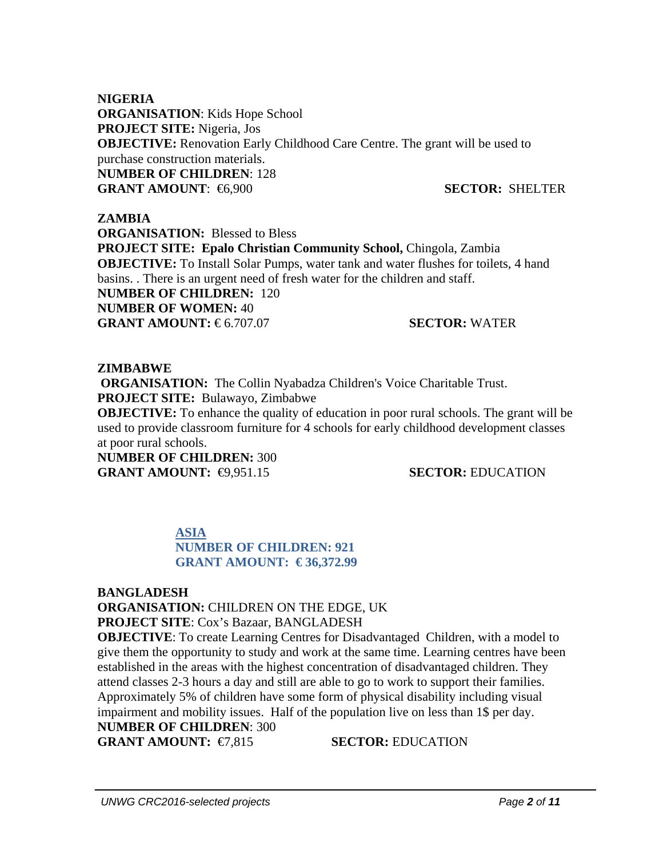**NIGERIA ORGANISATION**: Kids Hope School **PROJECT SITE:** Nigeria, Jos **OBJECTIVE:** Renovation Early Childhood Care Centre. The grant will be used to purchase construction materials. **NUMBER OF CHILDREN**: 128 **GRANT AMOUNT**: €6,900 **SECTOR:** SHELTER

### **ZAMBIA**

**ORGANISATION:** Blessed to Bless PROJECT SITE: Epalo Christian Community School, Chingola, Zambia **OBJECTIVE:** To Install Solar Pumps, water tank and water flushes for toilets, 4 hand basins. . There is an urgent need of fresh water for the children and staff. **NUMBER OF CHILDREN:** 120 **NUMBER OF WOMEN:** 40 **GRANT AMOUNT: €6.707.07 SECTOR: WATER** 

#### **ZIMBABWE**

 **ORGANISATION:** The Collin Nyabadza Children's Voice Charitable Trust. **PROJECT SITE:** Bulawayo, Zimbabwe

**OBJECTIVE:** To enhance the quality of education in poor rural schools. The grant will be used to provide classroom furniture for 4 schools for early childhood development classes at poor rural schools.

**NUMBER OF CHILDREN:** 300 **GRANT AMOUNT:**  $\bigoplus 951.15$  **SECTOR:** EDUCATION

### **ASIA NUMBER OF CHILDREN: 921 GRANT AMOUNT: € 36,372.99**

### **BANGLADESH**

**ORGANISATION:** CHILDREN ON THE EDGE, UK **PROJECT SITE**: Cox's Bazaar, BANGLADESH

**OBJECTIVE:** To create Learning Centres for Disadvantaged Children, with a model to give them the opportunity to study and work at the same time. Learning centres have been established in the areas with the highest concentration of disadvantaged children. They attend classes 2-3 hours a day and still are able to go to work to support their families. Approximately 5% of children have some form of physical disability including visual impairment and mobility issues. Half of the population live on less than 1\$ per day. **NUMBER OF CHILDREN**: 300

**GRANT AMOUNT:** €7.815 **SECTOR:** EDUCATION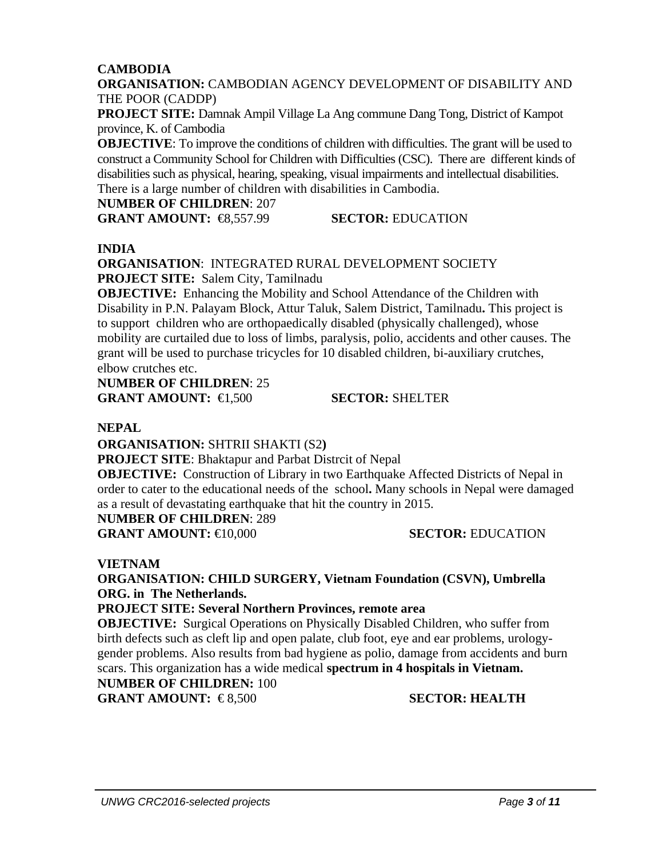## **CAMBODIA**

**ORGANISATION:** CAMBODIAN AGENCY DEVELOPMENT OF DISABILITY AND THE POOR (CADDP)

**PROJECT SITE:** Damnak Ampil Village La Ang commune Dang Tong, District of Kampot province, K. of Cambodia

**OBJECTIVE:** To improve the conditions of children with difficulties. The grant will be used to construct a Community School for Children with Difficulties (CSC). There are different kinds of disabilities such as physical, hearing, speaking, visual impairments and intellectual disabilities. There is a large number of children with disabilities in Cambodia.

#### **NUMBER OF CHILDREN**: 207

**GRANT AMOUNT:** €8,557.99 **SECTOR:** EDUCATION

### **INDIA**

**ORGANISATION**: INTEGRATED RURAL DEVELOPMENT SOCIETY **PROJECT SITE:** Salem City, Tamilnadu

**OBJECTIVE:** Enhancing the Mobility and School Attendance of the Children with Disability in P.N. Palayam Block, Attur Taluk, Salem District, Tamilnadu**.** This project is to support children who are orthopaedically disabled (physically challenged), whose mobility are curtailed due to loss of limbs, paralysis, polio, accidents and other causes. The grant will be used to purchase tricycles for 10 disabled children, bi-auxiliary crutches, elbow crutches etc.

**NUMBER OF CHILDREN**: 25 **GRANT AMOUNT:** €1,500 **SECTOR:** SHELTER

## **NEPAL**

**ORGANISATION:** SHTRII SHAKTI (S2**)** 

**PROJECT SITE**: Bhaktapur and Parbat Distrcit of Nepal

**OBJECTIVE:** Construction of Library in two Earthquake Affected Districts of Nepal in order to cater to the educational needs of the school**.** Many schools in Nepal were damaged as a result of devastating earthquake that hit the country in 2015.

## **NUMBER OF CHILDREN**: 289

**GRANT AMOUNT:** €10,000 **SECTOR:** EDUCATION

## **VIETNAM**

**ORGANISATION: CHILD SURGERY, Vietnam Foundation (CSVN), Umbrella ORG. in The Netherlands.** 

### **PROJECT SITE: Several Northern Provinces, remote area**

**OBJECTIVE:** Surgical Operations on Physically Disabled Children, who suffer from birth defects such as cleft lip and open palate, club foot, eye and ear problems, urologygender problems. Also results from bad hygiene as polio, damage from accidents and burn scars. This organization has a wide medical **spectrum in 4 hospitals in Vietnam. NUMBER OF CHILDREN:** 100 **GRANT AMOUNT:** €8,500 SECTOR: HEALTH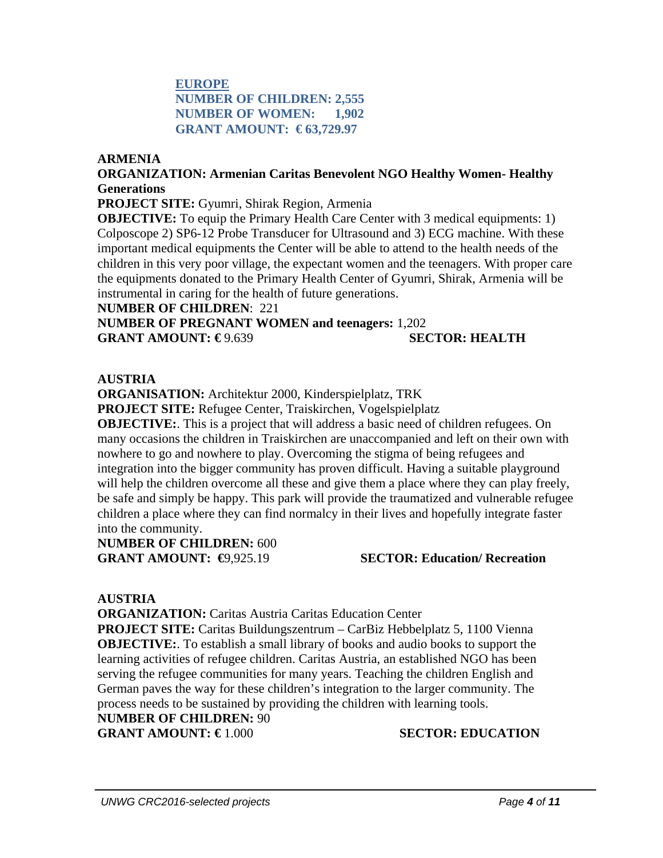## **EUROPE NUMBER OF CHILDREN: 2,555 NUMBER OF WOMEN: 1,902 GRANT AMOUNT: € 63,729.97**

#### **ARMENIA**

### **ORGANIZATION: Armenian Caritas Benevolent NGO Healthy Women- Healthy Generations**

**PROJECT SITE:** Gyumri, Shirak Region, Armenia

**OBJECTIVE:** To equip the Primary Health Care Center with 3 medical equipments: 1) Colposcope 2) SP6-12 Probe Transducer for Ultrasound and 3) ECG machine. With these important medical equipments the Center will be able to attend to the health needs of the children in this very poor village, the expectant women and the teenagers. With proper care the equipments donated to the Primary Health Center of Gyumri, Shirak, Armenia will be instrumental in caring for the health of future generations.

#### **NUMBER OF CHILDREN**: 221

**NUMBER OF PREGNANT WOMEN and teenagers:** 1,202 **GRANT AMOUNT: €** 9.639 **SECTOR: HEALTH** 

#### **AUSTRIA**

**ORGANISATION:** Architektur 2000, Kinderspielplatz, TRK

**PROJECT SITE:** Refugee Center, Traiskirchen, Vogelspielplatz

**OBJECTIVE:**. This is a project that will address a basic need of children refugees. On many occasions the children in Traiskirchen are unaccompanied and left on their own with nowhere to go and nowhere to play. Overcoming the stigma of being refugees and integration into the bigger community has proven difficult. Having a suitable playground will help the children overcome all these and give them a place where they can play freely, be safe and simply be happy. This park will provide the traumatized and vulnerable refugee children a place where they can find normalcy in their lives and hopefully integrate faster into the community.

**NUMBER OF CHILDREN:** 600

**GRANT AMOUNT: €**9,925.19 **SECTOR: Education/ Recreation** 

### **AUSTRIA**

**ORGANIZATION: Caritas Austria Caritas Education Center PROJECT SITE:** Caritas Buildungszentrum – CarBiz Hebbelplatz 5, 1100 Vienna **OBJECTIVE:**. To establish a small library of books and audio books to support the learning activities of refugee children. Caritas Austria, an established NGO has been serving the refugee communities for many years. Teaching the children English and German paves the way for these children's integration to the larger community. The process needs to be sustained by providing the children with learning tools.

**NUMBER OF CHILDREN:** 90

## **GRANT AMOUNT: €** 1.000 **SECTOR: EDUCATION**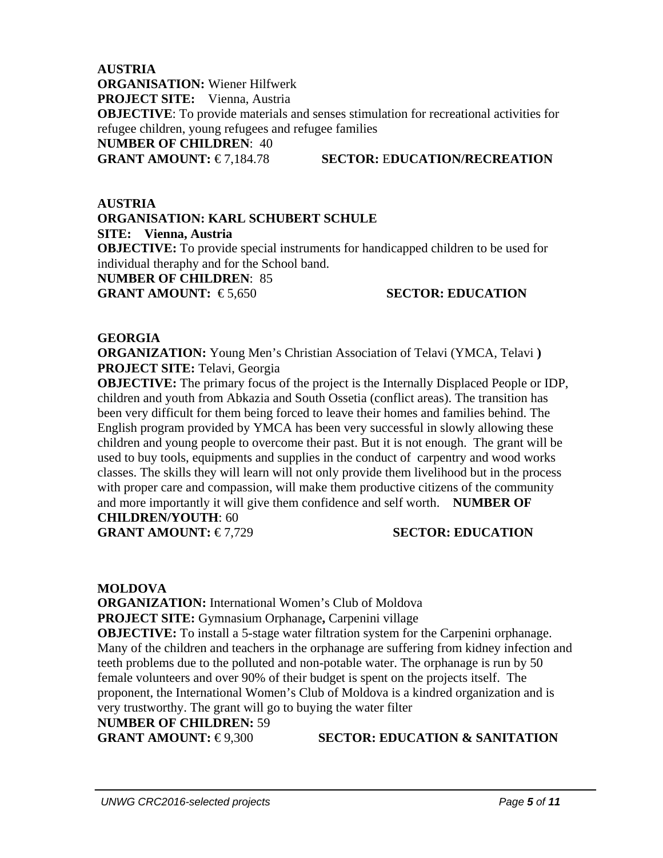**AUSTRIA ORGANISATION:** Wiener Hilfwerk **PROJECT SITE:** Vienna, Austria **OBJECTIVE**: To provide materials and senses stimulation for recreational activities for refugee children, young refugees and refugee families **NUMBER OF CHILDREN**: 40 **GRANT AMOUNT:** € 7,184.78 **SECTOR:** E**DUCATION/RECREATION**

**AUSTRIA ORGANISATION: KARL SCHUBERT SCHULE SITE: Vienna, Austria OBJECTIVE:** To provide special instruments for handicapped children to be used for individual theraphy and for the School band. **NUMBER OF CHILDREN**: 85 **GRANT AMOUNT:** €5.650 SECTOR: EDUCATION

### **GEORGIA**

**ORGANIZATION:** Young Men's Christian Association of Telavi (YMCA, Telavi **) PROJECT SITE:** Telavi, Georgia

**OBJECTIVE:** The primary focus of the project is the Internally Displaced People or IDP, children and youth from Abkazia and South Ossetia (conflict areas). The transition has been very difficult for them being forced to leave their homes and families behind. The English program provided by YMCA has been very successful in slowly allowing these children and young people to overcome their past. But it is not enough. The grant will be used to buy tools, equipments and supplies in the conduct of carpentry and wood works classes. The skills they will learn will not only provide them livelihood but in the process with proper care and compassion, will make them productive citizens of the community and more importantly it will give them confidence and self worth. **NUMBER OF CHILDREN/YOUTH**: 60

**GRANT AMOUNT: €7.729 SECTOR: EDUCATION** 

#### **MOLDOVA**

**ORGANIZATION:** International Women's Club of Moldova **PROJECT SITE:** Gymnasium Orphanage**,** Carpenini village **OBJECTIVE:** To install a 5-stage water filtration system for the Carpenini orphanage. Many of the children and teachers in the orphanage are suffering from kidney infection and teeth problems due to the polluted and non-potable water. The orphanage is run by 50 female volunteers and over 90% of their budget is spent on the projects itself. The proponent, the International Women's Club of Moldova is a kindred organization and is very trustworthy. The grant will go to buying the water filter

**NUMBER OF CHILDREN:** 59

**GRANT AMOUNT: €9.300 SECTOR: EDUCATION & SANITATION**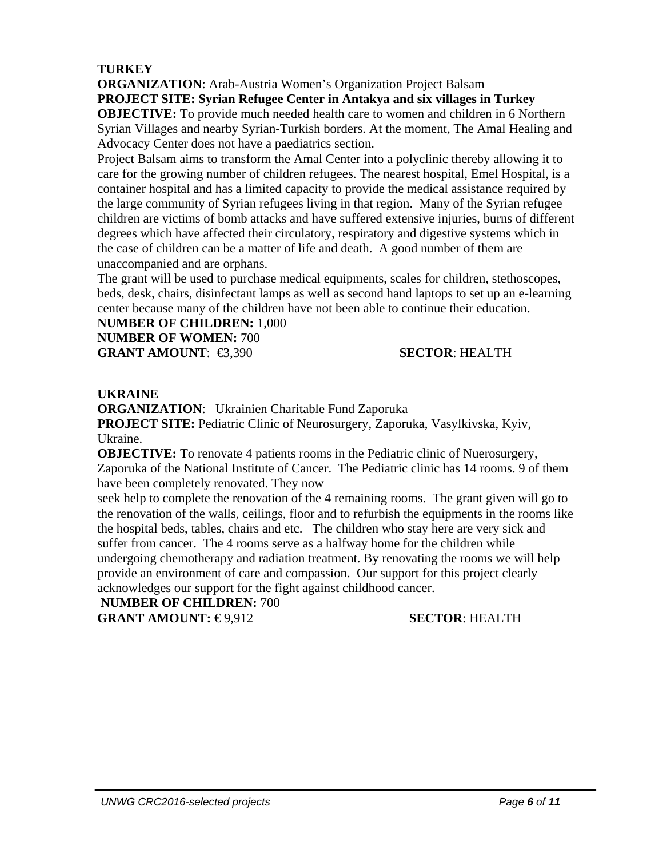## **TURKEY**

**ORGANIZATION**: Arab-Austria Women's Organization Project Balsam **PROJECT SITE: Syrian Refugee Center in Antakya and six villages in Turkey OBJECTIVE:** To provide much needed health care to women and children in 6 Northern Syrian Villages and nearby Syrian-Turkish borders. At the moment, The Amal Healing and Advocacy Center does not have a paediatrics section.

Project Balsam aims to transform the Amal Center into a polyclinic thereby allowing it to care for the growing number of children refugees. The nearest hospital, Emel Hospital, is a container hospital and has a limited capacity to provide the medical assistance required by the large community of Syrian refugees living in that region. Many of the Syrian refugee children are victims of bomb attacks and have suffered extensive injuries, burns of different degrees which have affected their circulatory, respiratory and digestive systems which in the case of children can be a matter of life and death. A good number of them are unaccompanied and are orphans.

The grant will be used to purchase medical equipments, scales for children, stethoscopes, beds, desk, chairs, disinfectant lamps as well as second hand laptops to set up an e-learning center because many of the children have not been able to continue their education.

**NUMBER OF CHILDREN:** 1,000

**NUMBER OF WOMEN:** 700 **GRANT AMOUNT**: €3,390 **SECTOR**: HEALTH

## **UKRAINE**

**ORGANIZATION**: Ukrainien Charitable Fund Zaporuka

**PROJECT SITE:** Pediatric Clinic of Neurosurgery, Zaporuka, Vasylkivska, Kyiv, Ukraine.

**OBJECTIVE:** To renovate 4 patients rooms in the Pediatric clinic of Nuerosurgery, Zaporuka of the National Institute of Cancer. The Pediatric clinic has 14 rooms. 9 of them have been completely renovated. They now

seek help to complete the renovation of the 4 remaining rooms. The grant given will go to the renovation of the walls, ceilings, floor and to refurbish the equipments in the rooms like the hospital beds, tables, chairs and etc. The children who stay here are very sick and suffer from cancer. The 4 rooms serve as a halfway home for the children while undergoing chemotherapy and radiation treatment. By renovating the rooms we will help provide an environment of care and compassion. Our support for this project clearly acknowledges our support for the fight against childhood cancer.

### **NUMBER OF CHILDREN:** 700

**GRANT AMOUNT: €9,912 SECTOR**: HEALTH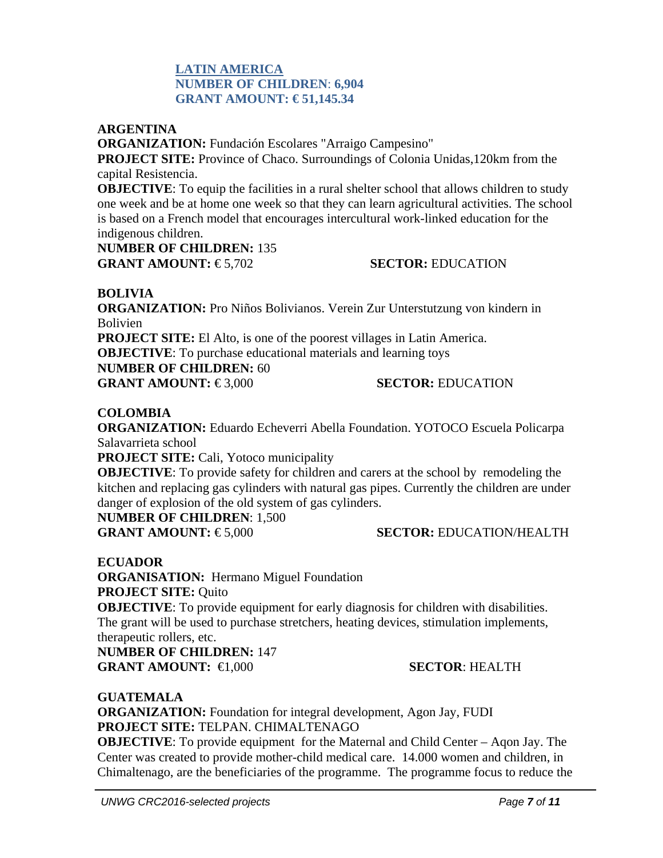## **LATIN AMERICA NUMBER OF CHILDREN**: **6,904 GRANT AMOUNT: € 51,145.34**

### **ARGENTINA**

**ORGANIZATION:** Fundación Escolares "Arraigo Campesino" **PROJECT SITE:** Province of Chaco. Surroundings of Colonia Unidas,120km from the capital Resistencia.

**OBJECTIVE:** To equip the facilities in a rural shelter school that allows children to study one week and be at home one week so that they can learn agricultural activities. The school is based on a French model that encourages intercultural work-linked education for the indigenous children.

**NUMBER OF CHILDREN:** 135 **GRANT AMOUNT: €5.702 SECTOR: EDUCATION** 

#### **BOLIVIA**

**ORGANIZATION:** Pro Niños Bolivianos. Verein Zur Unterstutzung von kindern in Bolivien

**PROJECT SITE:** El Alto, is one of the poorest villages in Latin America.

**OBJECTIVE**: To purchase educational materials and learning toys

#### **NUMBER OF CHILDREN:** 60

**GRANT AMOUNT: €3.000 SECTOR: EDUCATION** 

#### **COLOMBIA**

**ORGANIZATION:** Eduardo Echeverri Abella Foundation. YOTOCO Escuela Policarpa Salavarrieta school

**PROJECT SITE:** Cali, Yotoco municipality

**OBJECTIVE:** To provide safety for children and carers at the school by remodeling the kitchen and replacing gas cylinders with natural gas pipes. Currently the children are under danger of explosion of the old system of gas cylinders.

**NUMBER OF CHILDREN**: 1,500

### **GRANT AMOUNT:** € 5,000 **SECTOR:** EDUCATION/HEALTH

**ECUADOR** 

**ORGANISATION:** Hermano Miguel Foundation **PROJECT SITE:** Quito

**OBJECTIVE**: To provide equipment for early diagnosis for children with disabilities. The grant will be used to purchase stretchers, heating devices, stimulation implements, therapeutic rollers, etc.

**NUMBER OF CHILDREN:** 147 **GRANT AMOUNT:** €1,000 **SECTOR**: HEALTH

**GUATEMALA**

**ORGANIZATION:** Foundation for integral development, Agon Jay, FUDI **PROJECT SITE:** TELPAN. CHIMALTENAGO

**OBJECTIVE:** To provide equipment for the Maternal and Child Center – Agon Jay. The Center was created to provide mother-child medical care. 14.000 women and children, in Chimaltenago, are the beneficiaries of the programme. The programme focus to reduce the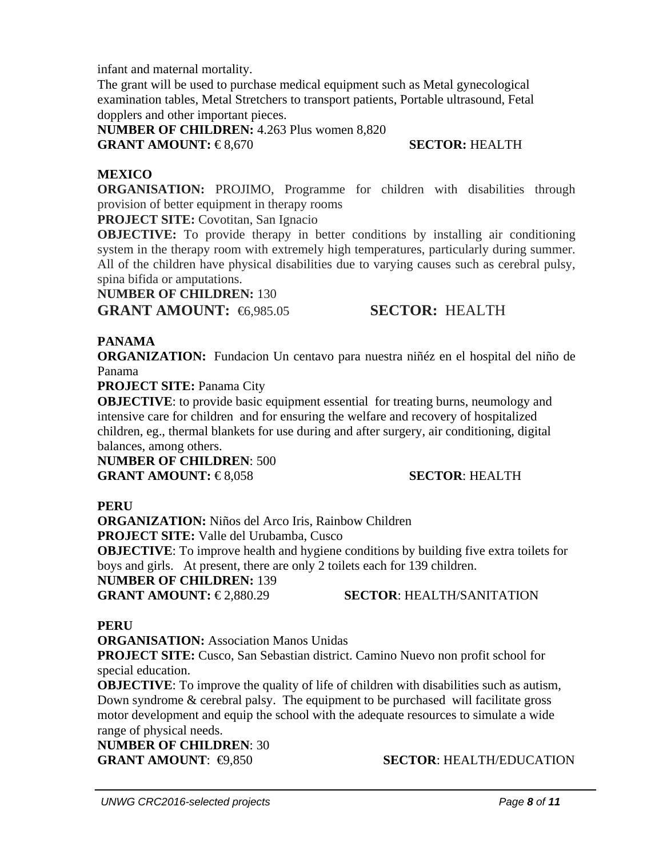infant and maternal mortality.

The grant will be used to purchase medical equipment such as Metal gynecological examination tables, Metal Stretchers to transport patients, Portable ultrasound, Fetal dopplers and other important pieces.

**NUMBER OF CHILDREN:** 4.263 Plus women 8,820 **GRANT AMOUNT:** €8,670 **SECTOR:** HEALTH

## **MEXICO**

**ORGANISATION:** PROJIMO, Programme for children with disabilities through provision of better equipment in therapy rooms

**PROJECT SITE:** Covotitan, San Ignacio

**OBJECTIVE:** To provide therapy in better conditions by installing air conditioning system in the therapy room with extremely high temperatures, particularly during summer. All of the children have physical disabilities due to varying causes such as cerebral pulsy, spina bifida or amputations.

### **NUMBER OF CHILDREN:** 130

**GRANT AMOUNT:** €6,985.05 **SECTOR:** HEALTH

## **PANAMA**

**ORGANIZATION:** Fundacion Un centavo para nuestra niñéz en el hospital del niño de Panama

**PROJECT SITE:** Panama City

**OBJECTIVE:** to provide basic equipment essential for treating burns, neumology and intensive care for children and for ensuring the welfare and recovery of hospitalized children, eg., thermal blankets for use during and after surgery, air conditioning, digital balances, among others.

**NUMBER OF CHILDREN**: 500 **GRANT AMOUNT: €8,058 SECTOR: HEALTH** 

## **PERU**

**ORGANIZATION:** Niños del Arco Iris, Rainbow Children **PROJECT SITE:** Valle del Urubamba, Cusco **OBJECTIVE:** To improve health and hygiene conditions by building five extra toilets for boys and girls. At present, there are only 2 toilets each for 139 children. **NUMBER OF CHILDREN:** 139 **GRANT AMOUNT: €2,880.29 SECTOR: HEALTH/SANITATION** 

## **PERU**

**ORGANISATION:** Association Manos Unidas

**PROJECT SITE:** Cusco, San Sebastian district. Camino Nuevo non profit school for special education.

**OBJECTIVE:** To improve the quality of life of children with disabilities such as autism, Down syndrome & cerebral palsy. The equipment to be purchased will facilitate gross motor development and equip the school with the adequate resources to simulate a wide range of physical needs.

**NUMBER OF CHILDREN**: 30

**GRANT AMOUNT:**  $\bigcirc$ **8,850 <b>SECTOR:** HEALTH/EDUCATION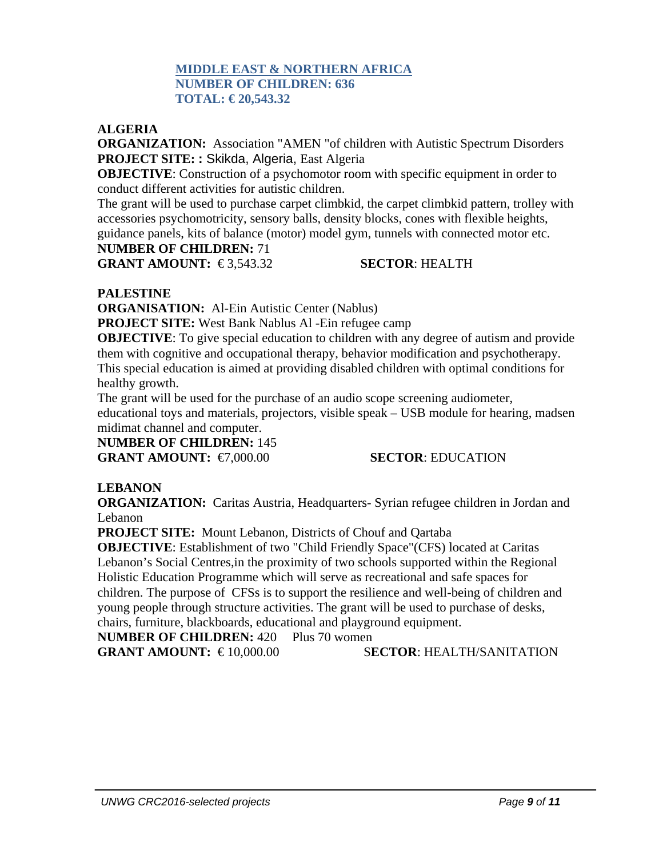### **MIDDLE EAST & NORTHERN AFRICA NUMBER OF CHILDREN: 636 TOTAL: € 20,543.32**

### **ALGERIA**

**ORGANIZATION:** Association "AMEN "of children with Autistic Spectrum Disorders **PROJECT SITE: :** Skikda, Algeria, East Algeria

**OBJECTIVE:** Construction of a psychomotor room with specific equipment in order to conduct different activities for autistic children.

The grant will be used to purchase carpet climbkid, the carpet climbkid pattern, trolley with accessories psychomotricity, sensory balls, density blocks, cones with flexible heights, guidance panels, kits of balance (motor) model gym, tunnels with connected motor etc.

### **NUMBER OF CHILDREN:** 71

**GRANT AMOUNT:** €3,543.32 **SECTOR**: HEALTH

### **PALESTINE**

**ORGANISATION:** Al-Ein Autistic Center (Nablus)

**PROJECT SITE:** West Bank Nablus Al -Ein refugee camp

**OBJECTIVE:** To give special education to children with any degree of autism and provide them with cognitive and occupational therapy, behavior modification and psychotherapy. This special education is aimed at providing disabled children with optimal conditions for healthy growth.

The grant will be used for the purchase of an audio scope screening audiometer, educational toys and materials, projectors, visible speak – USB module for hearing, madsen midimat channel and computer.

**NUMBER OF CHILDREN:** 145

**GRANT AMOUNT:** €7,000.00 **SECTOR**: EDUCATION

## **LEBANON**

**ORGANIZATION:** Caritas Austria, Headquarters- Syrian refugee children in Jordan and Lebanon

**PROJECT SITE:** Mount Lebanon, Districts of Chouf and Qartaba

**OBJECTIVE**: Establishment of two "Child Friendly Space"(CFS) located at Caritas Lebanon's Social Centres,in the proximity of two schools supported within the Regional Holistic Education Programme which will serve as recreational and safe spaces for children. The purpose of CFSs is to support the resilience and well-being of children and young people through structure activities. The grant will be used to purchase of desks, chairs, furniture, blackboards, educational and playground equipment.

**NUMBER OF CHILDREN: 420 Plus 70 women** 

**GRANT AMOUNT:** € 10,000.00 S**ECTOR**: HEALTH/SANITATION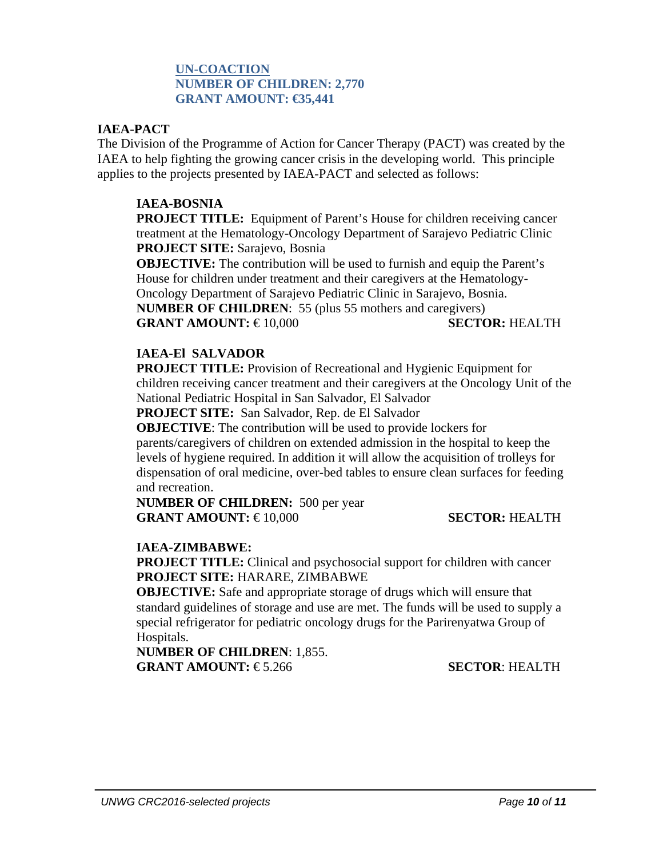### **UN-COACTION NUMBER OF CHILDREN: 2,770 GRANT AMOUNT: €35,441**

#### **IAEA-PACT**

The Division of the Programme of Action for Cancer Therapy (PACT) was created by the IAEA to help fighting the growing cancer crisis in the developing world. This principle applies to the projects presented by IAEA-PACT and selected as follows:

#### **IAEA-BOSNIA**

**PROJECT TITLE:** Equipment of Parent's House for children receiving cancer treatment at the Hematology-Oncology Department of Sarajevo Pediatric Clinic **PROJECT SITE:** Sarajevo, Bosnia

**OBJECTIVE:** The contribution will be used to furnish and equip the Parent's House for children under treatment and their caregivers at the Hematology-Oncology Department of Sarajevo Pediatric Clinic in Sarajevo, Bosnia.

**NUMBER OF CHILDREN**: 55 (plus 55 mothers and caregivers) **GRANT AMOUNT:** €10,000 **SECTOR:** HEALTH

## **IAEA-El SALVADOR**

**PROJECT TITLE:** Provision of Recreational and Hygienic Equipment for children receiving cancer treatment and their caregivers at the Oncology Unit of the National Pediatric Hospital in San Salvador, El Salvador

**PROJECT SITE:** San Salvador, Rep. de El Salvador

**OBJECTIVE**: The contribution will be used to provide lockers for

parents/caregivers of children on extended admission in the hospital to keep the levels of hygiene required. In addition it will allow the acquisition of trolleys for dispensation of oral medicine, over-bed tables to ensure clean surfaces for feeding and recreation.

**NUMBER OF CHILDREN:** 500 per year **GRANT AMOUNT: €10.000 SECTOR: HEALTH** 

### **IAEA-ZIMBABWE:**

**PROJECT TITLE:** Clinical and psychosocial support for children with cancer **PROJECT SITE:** HARARE, ZIMBABWE

**OBJECTIVE:** Safe and appropriate storage of drugs which will ensure that standard guidelines of storage and use are met. The funds will be used to supply a special refrigerator for pediatric oncology drugs for the Parirenyatwa Group of Hospitals.

**NUMBER OF CHILDREN**: 1,855. **GRANT AMOUNT: €5.266 SECTOR: HEALTH**